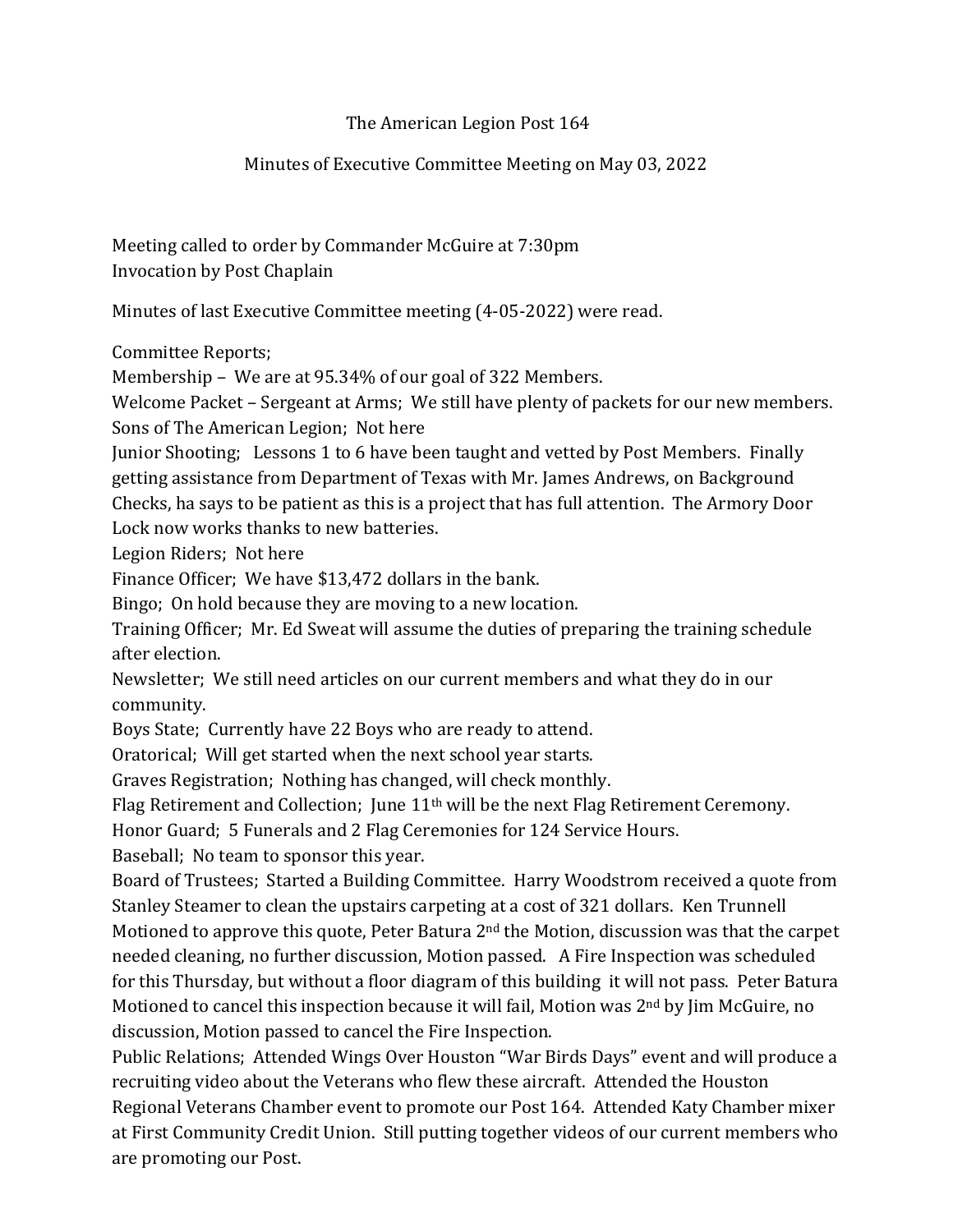## The American Legion Post 164

## Minutes of Executive Committee Meeting on May 03, 2022

Meeting called to order by Commander McGuire at 7:30pm Invocation by Post Chaplain

Minutes of last Executive Committee meeting (4-05-2022) were read.

Committee Reports;

Membership – We are at 95.34% of our goal of 322 Members.

Welcome Packet – Sergeant at Arms; We still have plenty of packets for our new members. Sons of The American Legion; Not here

Junior Shooting; Lessons 1 to 6 have been taught and vetted by Post Members. Finally getting assistance from Department of Texas with Mr. James Andrews, on Background Checks, ha says to be patient as this is a project that has full attention. The Armory Door Lock now works thanks to new batteries.

Legion Riders; Not here

Finance Officer; We have \$13,472 dollars in the bank.

Bingo; On hold because they are moving to a new location.

Training Officer; Mr. Ed Sweat will assume the duties of preparing the training schedule after election.

Newsletter; We still need articles on our current members and what they do in our community.

Boys State; Currently have 22 Boys who are ready to attend.

Oratorical; Will get started when the next school year starts.

Graves Registration; Nothing has changed, will check monthly.

Flag Retirement and Collection; June 11th will be the next Flag Retirement Ceremony.

Honor Guard; 5 Funerals and 2 Flag Ceremonies for 124 Service Hours.

Baseball; No team to sponsor this year.

Board of Trustees; Started a Building Committee. Harry Woodstrom received a quote from Stanley Steamer to clean the upstairs carpeting at a cost of 321 dollars. Ken Trunnell Motioned to approve this quote, Peter Batura 2nd the Motion, discussion was that the carpet needed cleaning, no further discussion, Motion passed. A Fire Inspection was scheduled for this Thursday, but without a floor diagram of this building it will not pass. Peter Batura Motioned to cancel this inspection because it will fail, Motion was  $2<sup>nd</sup>$  by Jim McGuire, no discussion, Motion passed to cancel the Fire Inspection.

Public Relations; Attended Wings Over Houston "War Birds Days" event and will produce a recruiting video about the Veterans who flew these aircraft. Attended the Houston Regional Veterans Chamber event to promote our Post 164. Attended Katy Chamber mixer at First Community Credit Union. Still putting together videos of our current members who are promoting our Post.